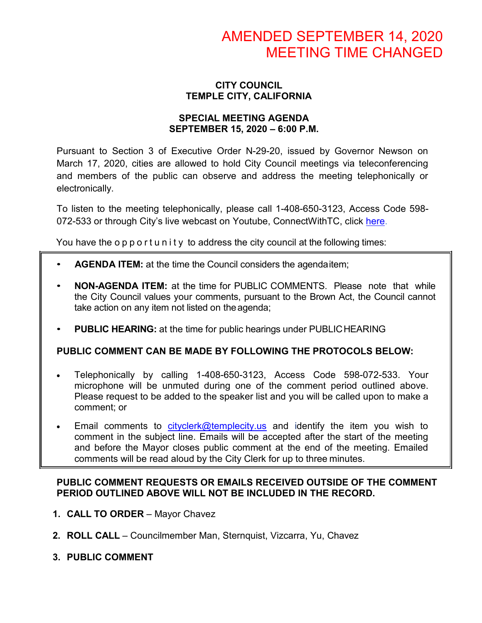### **CITY COUNCIL TEMPLE CITY, CALIFORNIA**

### **SPECIAL MEETING AGENDA SEPTEMBER 15, 2020 – 6:00 P.M.**

Pursuant to Section 3 of Executive Order N-29-20, issued by Governor Newson on March 17, 2020, cities are allowed to hold City Council meetings via teleconferencing and members of the public can observe and address the meeting telephonically or electronically.

To listen to the meeting telephonically, please call 1-408-650-3123, Access Code 598 072-533 or through City's live webcast on Youtube, ConnectWithTC, click [here.](https://www.ci.temple-city.ca.us/516/Meeting-Webcast)

You have the opportunity to address the city council at the following times:

- **AGENDA ITEM:** at the time the Council considers the agendaitem;
- **NON-AGENDA ITEM:** at the time for PUBLIC COMMENTS. Please note that while the City Council values your comments, pursuant to the Brown Act, the Council cannot take action on any item not listed on the agenda;
- **PUBLIC HEARING:** at the time for public hearings under PUBLICHEARING

# **PUBLIC COMMENT CAN BE MADE BY FOLLOWING THE PROTOCOLS BELOW:**

- Telephonically by calling 1-408-650-3123, Access Code 598-072-533. Your microphone will be unmuted during one of the comment period outlined above. Please request to be added to the speaker list and you will be called upon to make a comment; or
- Email comments to [cityclerk@templecity.us](mailto:cityclerk@templecity.us) and identify the item you wish to comment in the subject line. Emails will be accepted after the start of the meeting and before the Mayor closes public comment at the end of the meeting. Emailed comments will be read aloud by the City Clerk for up to three minutes.

### **PUBLIC COMMENT REQUESTS OR EMAILS RECEIVED OUTSIDE OF THE COMMENT PERIOD OUTLINED ABOVE WILL NOT BE INCLUDED IN THE RECORD.**

- **1. CALL TO ORDER**  Mayor Chavez
- **2. ROLL CALL**  Councilmember Man, Sternquist, Vizcarra, Yu, Chavez
- **3. PUBLIC COMMENT**